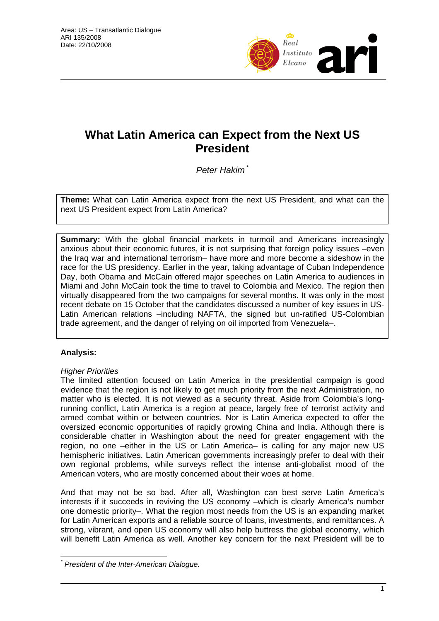

# **What Latin America can Expect from the Next US President**

*Peter Hakim* \*

**Theme:** What can Latin America expect from the next US President, and what can the next US President expect from Latin America?

**Summary:** With the global financial markets in turmoil and Americans increasingly anxious about their economic futures, it is not surprising that foreign policy issues –even the Iraq war and international terrorism– have more and more become a sideshow in the race for the US presidency. Earlier in the year, taking advantage of Cuban Independence Day, both Obama and McCain offered major speeches on Latin America to audiences in Miami and John McCain took the time to travel to Colombia and Mexico. The region then virtually disappeared from the two campaigns for several months. It was only in the most recent debate on 15 October that the candidates discussed a number of key issues in US-Latin American relations –including NAFTA, the signed but un-ratified US-Colombian trade agreement, and the danger of relying on oil imported from Venezuela–.

# **Analysis:**

## *Higher Priorities*

The limited attention focused on Latin America in the presidential campaign is good evidence that the region is not likely to get much priority from the next Administration, no matter who is elected. It is not viewed as a security threat. Aside from Colombia's longrunning conflict, Latin America is a region at peace, largely free of terrorist activity and armed combat within or between countries. Nor is Latin America expected to offer the oversized economic opportunities of rapidly growing China and India. Although there is considerable chatter in Washington about the need for greater engagement with the region, no one –either in the US or Latin America– is calling for any major new US hemispheric initiatives. Latin American governments increasingly prefer to deal with their own regional problems, while surveys reflect the intense anti-globalist mood of the American voters, who are mostly concerned about their woes at home.

And that may not be so bad. After all, Washington can best serve Latin America's interests if it succeeds in reviving the US economy –which is clearly America's number one domestic priority–. What the region most needs from the US is an expanding market for Latin American exports and a reliable source of loans, investments, and remittances. A strong, vibrant, and open US economy will also help buttress the global economy, which will benefit Latin America as well. Another key concern for the next President will be to

 $\overline{a}$ *\* President of the Inter-American Dialogue.*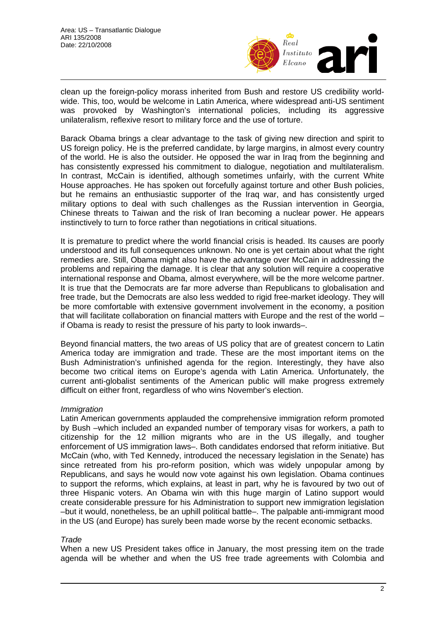

clean up the foreign-policy morass inherited from Bush and restore US credibility worldwide. This, too, would be welcome in Latin America, where widespread anti-US sentiment was provoked by Washington's international policies, including its aggressive unilateralism, reflexive resort to military force and the use of torture.

Barack Obama brings a clear advantage to the task of giving new direction and spirit to US foreign policy. He is the preferred candidate, by large margins, in almost every country of the world. He is also the outsider. He opposed the war in Iraq from the beginning and has consistently expressed his commitment to dialogue, negotiation and multilateralism. In contrast, McCain is identified, although sometimes unfairly, with the current White House approaches. He has spoken out forcefully against torture and other Bush policies, but he remains an enthusiastic supporter of the Iraq war, and has consistently urged military options to deal with such challenges as the Russian intervention in Georgia, Chinese threats to Taiwan and the risk of Iran becoming a nuclear power. He appears instinctively to turn to force rather than negotiations in critical situations.

It is premature to predict where the world financial crisis is headed. Its causes are poorly understood and its full consequences unknown. No one is yet certain about what the right remedies are. Still, Obama might also have the advantage over McCain in addressing the problems and repairing the damage. It is clear that any solution will require a cooperative international response and Obama, almost everywhere, will be the more welcome partner. It is true that the Democrats are far more adverse than Republicans to globalisation and free trade, but the Democrats are also less wedded to rigid free-market ideology. They will be more comfortable with extensive government involvement in the economy, a position that will facilitate collaboration on financial matters with Europe and the rest of the world – if Obama is ready to resist the pressure of his party to look inwards–.

Beyond financial matters, the two areas of US policy that are of greatest concern to Latin America today are immigration and trade. These are the most important items on the Bush Administration's unfinished agenda for the region. Interestingly, they have also become two critical items on Europe's agenda with Latin America. Unfortunately, the current anti-globalist sentiments of the American public will make progress extremely difficult on either front, regardless of who wins November's election.

## *Immigration*

Latin American governments applauded the comprehensive immigration reform promoted by Bush –which included an expanded number of temporary visas for workers, a path to citizenship for the 12 million migrants who are in the US illegally, and tougher enforcement of US immigration laws–. Both candidates endorsed that reform initiative. But McCain (who, with Ted Kennedy, introduced the necessary legislation in the Senate) has since retreated from his pro-reform position, which was widely unpopular among by Republicans, and says he would now vote against his own legislation. Obama continues to support the reforms, which explains, at least in part, why he is favoured by two out of three Hispanic voters. An Obama win with this huge margin of Latino support would create considerable pressure for his Administration to support new immigration legislation –but it would, nonetheless, be an uphill political battle–. The palpable anti-immigrant mood in the US (and Europe) has surely been made worse by the recent economic setbacks.

## *Trade*

When a new US President takes office in January, the most pressing item on the trade agenda will be whether and when the US free trade agreements with Colombia and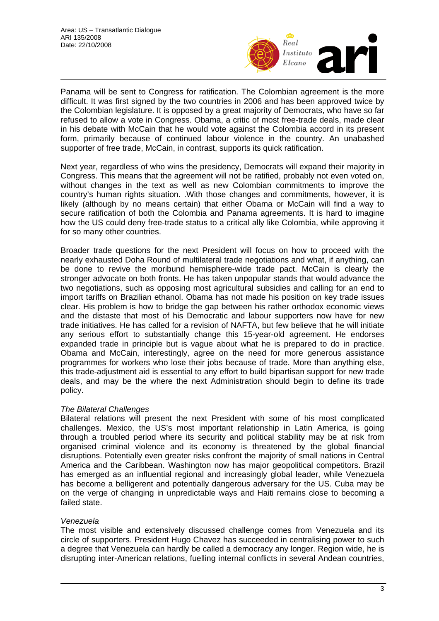

Panama will be sent to Congress for ratification. The Colombian agreement is the more difficult. It was first signed by the two countries in 2006 and has been approved twice by the Colombian legislature. It is opposed by a great majority of Democrats, who have so far refused to allow a vote in Congress. Obama, a critic of most free-trade deals, made clear in his debate with McCain that he would vote against the Colombia accord in its present form, primarily because of continued labour violence in the country. An unabashed supporter of free trade, McCain, in contrast, supports its quick ratification.

Next year, regardless of who wins the presidency, Democrats will expand their majority in Congress. This means that the agreement will not be ratified, probably not even voted on, without changes in the text as well as new Colombian commitments to improve the country's human rights situation. .With those changes and commitments, however, it is likely (although by no means certain) that either Obama or McCain will find a way to secure ratification of both the Colombia and Panama agreements. It is hard to imagine how the US could deny free-trade status to a critical ally like Colombia, while approving it for so many other countries.

Broader trade questions for the next President will focus on how to proceed with the nearly exhausted Doha Round of multilateral trade negotiations and what, if anything, can be done to revive the moribund hemisphere-wide trade pact. McCain is clearly the stronger advocate on both fronts. He has taken unpopular stands that would advance the two negotiations, such as opposing most agricultural subsidies and calling for an end to import tariffs on Brazilian ethanol. Obama has not made his position on key trade issues clear. His problem is how to bridge the gap between his rather orthodox economic views and the distaste that most of his Democratic and labour supporters now have for new trade initiatives. He has called for a revision of NAFTA, but few believe that he will initiate any serious effort to substantially change this 15-year-old agreement. He endorses expanded trade in principle but is vague about what he is prepared to do in practice. Obama and McCain, interestingly, agree on the need for more generous assistance programmes for workers who lose their jobs because of trade. More than anything else, this trade-adjustment aid is essential to any effort to build bipartisan support for new trade deals, and may be the where the next Administration should begin to define its trade policy.

## *The Bilateral Challenges*

Bilateral relations will present the next President with some of his most complicated challenges. Mexico, the US's most important relationship in Latin America, is going through a troubled period where its security and political stability may be at risk from organised criminal violence and its economy is threatened by the global financial disruptions. Potentially even greater risks confront the majority of small nations in Central America and the Caribbean. Washington now has major geopolitical competitors. Brazil has emerged as an influential regional and increasingly global leader, while Venezuela has become a belligerent and potentially dangerous adversary for the US. Cuba may be on the verge of changing in unpredictable ways and Haiti remains close to becoming a failed state.

## *Venezuela*

The most visible and extensively discussed challenge comes from Venezuela and its circle of supporters. President Hugo Chavez has succeeded in centralising power to such a degree that Venezuela can hardly be called a democracy any longer. Region wide, he is disrupting inter-American relations, fuelling internal conflicts in several Andean countries,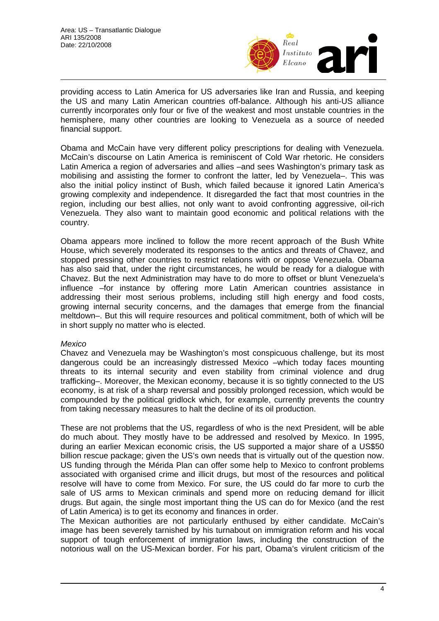

providing access to Latin America for US adversaries like Iran and Russia, and keeping the US and many Latin American countries off-balance. Although his anti-US alliance currently incorporates only four or five of the weakest and most unstable countries in the hemisphere, many other countries are looking to Venezuela as a source of needed financial support.

Obama and McCain have very different policy prescriptions for dealing with Venezuela. McCain's discourse on Latin America is reminiscent of Cold War rhetoric. He considers Latin America a region of adversaries and allies –and sees Washington's primary task as mobilising and assisting the former to confront the latter, led by Venezuela–. This was also the initial policy instinct of Bush, which failed because it ignored Latin America's growing complexity and independence. It disregarded the fact that most countries in the region, including our best allies, not only want to avoid confronting aggressive, oil-rich Venezuela. They also want to maintain good economic and political relations with the country.

Obama appears more inclined to follow the more recent approach of the Bush White House, which severely moderated its responses to the antics and threats of Chavez, and stopped pressing other countries to restrict relations with or oppose Venezuela. Obama has also said that, under the right circumstances, he would be ready for a dialogue with Chavez. But the next Administration may have to do more to offset or blunt Venezuela's influence –for instance by offering more Latin American countries assistance in addressing their most serious problems, including still high energy and food costs, growing internal security concerns, and the damages that emerge from the financial meltdown–. But this will require resources and political commitment, both of which will be in short supply no matter who is elected.

#### *Mexico*

Chavez and Venezuela may be Washington's most conspicuous challenge, but its most dangerous could be an increasingly distressed Mexico –which today faces mounting threats to its internal security and even stability from criminal violence and drug trafficking–. Moreover, the Mexican economy, because it is so tightly connected to the US economy, is at risk of a sharp reversal and possibly prolonged recession, which would be compounded by the political gridlock which, for example, currently prevents the country from taking necessary measures to halt the decline of its oil production.

These are not problems that the US, regardless of who is the next President, will be able do much about. They mostly have to be addressed and resolved by Mexico. In 1995, during an earlier Mexican economic crisis, the US supported a major share of a US\$50 billion rescue package; given the US's own needs that is virtually out of the question now. US funding through the Mérida Plan can offer some help to Mexico to confront problems associated with organised crime and illicit drugs, but most of the resources and political resolve will have to come from Mexico. For sure, the US could do far more to curb the sale of US arms to Mexican criminals and spend more on reducing demand for illicit drugs. But again, the single most important thing the US can do for Mexico (and the rest of Latin America) is to get its economy and finances in order.

The Mexican authorities are not particularly enthused by either candidate. McCain's image has been severely tarnished by his turnabout on immigration reform and his vocal support of tough enforcement of immigration laws, including the construction of the notorious wall on the US-Mexican border. For his part, Obama's virulent criticism of the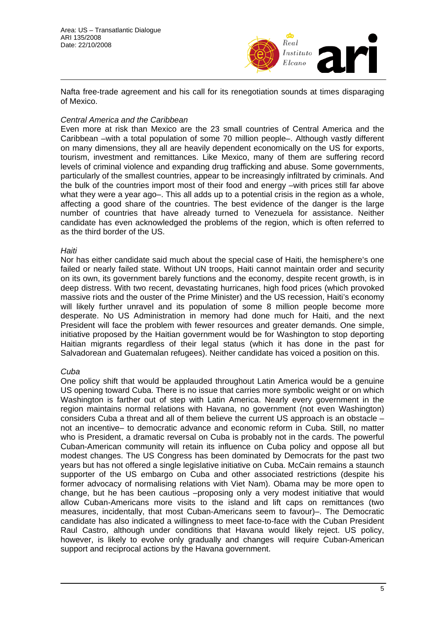

Nafta free-trade agreement and his call for its renegotiation sounds at times disparaging of Mexico.

## *Central America and the Caribbean*

Even more at risk than Mexico are the 23 small countries of Central America and the Caribbean –with a total population of some 70 million people–. Although vastly different on many dimensions, they all are heavily dependent economically on the US for exports, tourism, investment and remittances. Like Mexico, many of them are suffering record levels of criminal violence and expanding drug trafficking and abuse. Some governments, particularly of the smallest countries, appear to be increasingly infiltrated by criminals. And the bulk of the countries import most of their food and energy –with prices still far above what they were a year ago–. This all adds up to a potential crisis in the region as a whole, affecting a good share of the countries. The best evidence of the danger is the large number of countries that have already turned to Venezuela for assistance. Neither candidate has even acknowledged the problems of the region, which is often referred to as the third border of the US.

#### *Haiti*

Nor has either candidate said much about the special case of Haiti, the hemisphere's one failed or nearly failed state. Without UN troops, Haiti cannot maintain order and security on its own, its government barely functions and the economy, despite recent growth, is in deep distress. With two recent, devastating hurricanes, high food prices (which provoked massive riots and the ouster of the Prime Minister) and the US recession, Haiti's economy will likely further unravel and its population of some 8 million people become more desperate. No US Administration in memory had done much for Haiti, and the next President will face the problem with fewer resources and greater demands. One simple, initiative proposed by the Haitian government would be for Washington to stop deporting Haitian migrants regardless of their legal status (which it has done in the past for Salvadorean and Guatemalan refugees). Neither candidate has voiced a position on this.

## *Cuba*

One policy shift that would be applauded throughout Latin America would be a genuine US opening toward Cuba. There is no issue that carries more symbolic weight or on which Washington is farther out of step with Latin America. Nearly every government in the region maintains normal relations with Havana, no government (not even Washington) considers Cuba a threat and all of them believe the current US approach is an obstacle – not an incentive– to democratic advance and economic reform in Cuba. Still, no matter who is President, a dramatic reversal on Cuba is probably not in the cards. The powerful Cuban-American community will retain its influence on Cuba policy and oppose all but modest changes. The US Congress has been dominated by Democrats for the past two years but has not offered a single legislative initiative on Cuba. McCain remains a staunch supporter of the US embargo on Cuba and other associated restrictions (despite his former advocacy of normalising relations with Viet Nam). Obama may be more open to change, but he has been cautious –proposing only a very modest initiative that would allow Cuban-Americans more visits to the island and lift caps on remittances (two measures, incidentally, that most Cuban-Americans seem to favour)–. The Democratic candidate has also indicated a willingness to meet face-to-face with the Cuban President Raul Castro, although under conditions that Havana would likely reject. US policy, however, is likely to evolve only gradually and changes will require Cuban-American support and reciprocal actions by the Havana government.